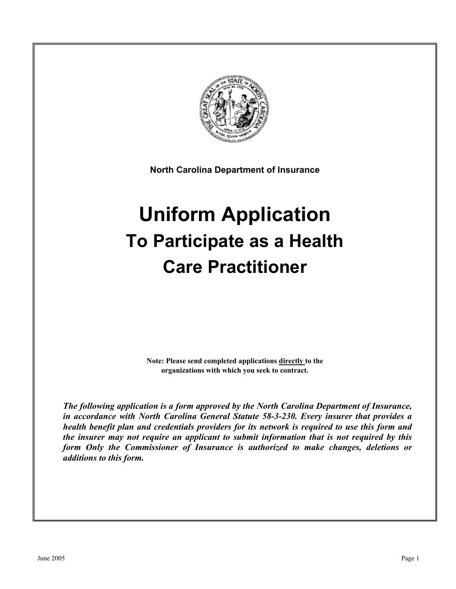

**North Carolina Department of Insurance** 

# **Uniform Application To Participate as a Health Care Practitioner**

**Note: Please send completed applications directly to the organizations with which you seek to contract.** 

*The following application is a form approved by the North Carolina Department of Insurance, in accordance with North Carolina General Statute 58-3-230. Every insurer that provides a health benefit plan and credentials providers for its network is required to use this form and the insurer may not require an applicant to submit information that is not required by this form Only the Commissioner of Insurance is authorized to make changes, deletions or additions to this form.*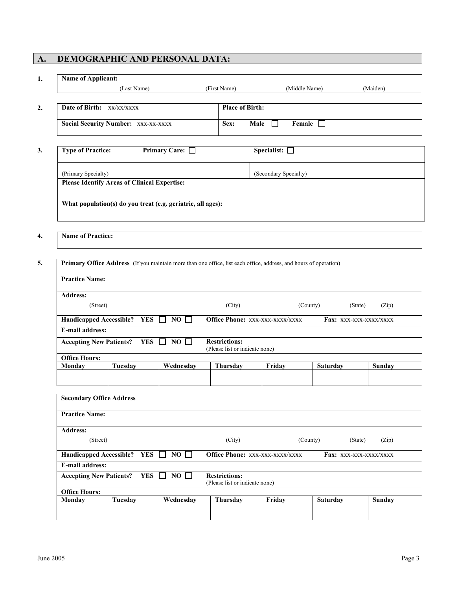# **A. DEMOGRAPHIC AND PERSONAL DATA:**

| <b>Name of Applicant:</b>                                |                |                                                             |                                                        |                                                                                                                  |                        |          |
|----------------------------------------------------------|----------------|-------------------------------------------------------------|--------------------------------------------------------|------------------------------------------------------------------------------------------------------------------|------------------------|----------|
|                                                          | (Last Name)    |                                                             | (First Name)                                           |                                                                                                                  | (Middle Name)          | (Maiden) |
| Date of Birth: xx/xx/xxxx                                |                |                                                             | <b>Place of Birth:</b>                                 |                                                                                                                  |                        |          |
| <b>Social Security Number: XXX-XX-XXXX</b>               |                |                                                             | Sex:                                                   | Male<br>$\perp$                                                                                                  | Female $\Box$          |          |
| <b>Type of Practice:</b>                                 |                | Primary Care: □                                             |                                                        | Specialist: $\square$                                                                                            |                        |          |
| (Primary Specialty)                                      |                |                                                             |                                                        | (Secondary Specialty)                                                                                            |                        |          |
| <b>Please Identify Areas of Clinical Expertise:</b>      |                |                                                             |                                                        |                                                                                                                  |                        |          |
|                                                          |                | What population(s) do you treat (e.g. geriatric, all ages): |                                                        |                                                                                                                  |                        |          |
|                                                          |                |                                                             |                                                        |                                                                                                                  |                        |          |
| <b>Name of Practice:</b>                                 |                |                                                             |                                                        |                                                                                                                  |                        |          |
|                                                          |                |                                                             |                                                        |                                                                                                                  |                        |          |
|                                                          |                |                                                             |                                                        | Primary Office Address (If you maintain more than one office, list each office, address, and hours of operation) |                        |          |
| <b>Practice Name:</b>                                    |                |                                                             |                                                        |                                                                                                                  |                        |          |
| <b>Address:</b>                                          |                |                                                             |                                                        |                                                                                                                  |                        |          |
| (Street)                                                 |                |                                                             | (City)                                                 |                                                                                                                  | (County)<br>(State)    | (Zip)    |
| Handicapped Accessible? YES                              |                | $NO \Box$                                                   |                                                        | Office Phone: xxx-xxx-xxxx/xxxx                                                                                  | Fax: XXX-XXX-XXXX/XXXX |          |
| <b>E-mail address:</b>                                   |                |                                                             |                                                        |                                                                                                                  |                        |          |
| <b>Accepting New Patients?</b>                           | YES            | $NO \Box$                                                   | <b>Restrictions:</b><br>(Please list or indicate none) |                                                                                                                  |                        |          |
| <b>Office Hours:</b>                                     |                |                                                             |                                                        |                                                                                                                  |                        |          |
|                                                          |                |                                                             |                                                        |                                                                                                                  |                        |          |
| Monday                                                   | <b>Tuesday</b> | Wednesday                                                   | Thursday                                               | Friday                                                                                                           | Saturday               | Sunday   |
| <b>Secondary Office Address</b>                          |                |                                                             |                                                        |                                                                                                                  |                        |          |
| <b>Practice Name:</b>                                    |                |                                                             |                                                        |                                                                                                                  |                        |          |
| <b>Address:</b>                                          |                |                                                             |                                                        |                                                                                                                  |                        |          |
| (Street)                                                 |                |                                                             | (City)                                                 |                                                                                                                  | (County)<br>(State)    | (Zip)    |
| Handicapped Accessible? YES □ NO □                       |                |                                                             |                                                        | Office Phone: xxx-xxx-xxxx/xxxx                                                                                  | Fax: XXX-XXX-XXXX/XXXX |          |
| <b>E-mail address:</b><br><b>Accepting New Patients?</b> |                | YES $\Box$<br>$NO$ $\Box$                                   | <b>Restrictions:</b>                                   |                                                                                                                  |                        |          |
| <b>Office Hours:</b><br>Monday                           | <b>Tuesday</b> | Wednesday                                                   | (Please list or indicate none)<br>Thursday             | Friday                                                                                                           |                        |          |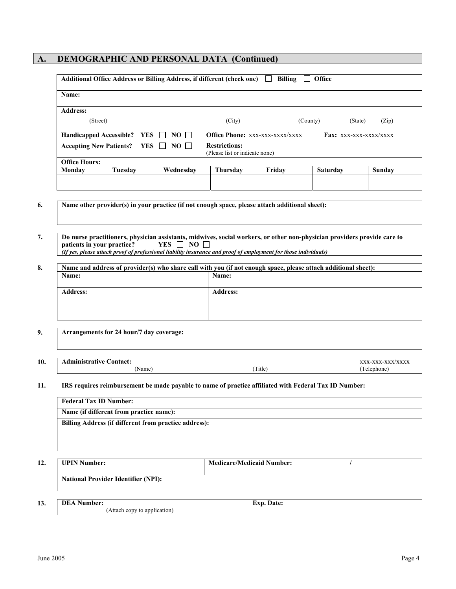# **A. DEMOGRAPHIC AND PERSONAL DATA (Continued)**

| Name:                          |                             |                                                                                                                 |                                                        |        |                                                                                                                          |                        |
|--------------------------------|-----------------------------|-----------------------------------------------------------------------------------------------------------------|--------------------------------------------------------|--------|--------------------------------------------------------------------------------------------------------------------------|------------------------|
| <b>Address:</b>                |                             |                                                                                                                 |                                                        |        |                                                                                                                          |                        |
| (Street)                       |                             |                                                                                                                 | (City)                                                 |        | (County)                                                                                                                 | (State)<br>(Zip)       |
|                                | Handicapped Accessible? YES | $NO$ $\Box$                                                                                                     | Office Phone: xxx-xxx-xxxx/xxxx                        |        |                                                                                                                          | Fax: XXX-XXX-XXXX/XXXX |
| <b>Accepting New Patients?</b> | YES                         | NO.<br>$\mathbf{I}$                                                                                             | <b>Restrictions:</b><br>(Please list or indicate none) |        |                                                                                                                          |                        |
| <b>Office Hours:</b>           |                             |                                                                                                                 |                                                        |        |                                                                                                                          |                        |
| Monday                         | Tuesday                     | Wednesday                                                                                                       | <b>Thursday</b>                                        | Friday | Saturday                                                                                                                 | Sunday                 |
|                                |                             | Name other provider(s) in your practice (if not enough space, please attach additional sheet):                  |                                                        |        |                                                                                                                          |                        |
| patients in your practice?     |                             | <b>YES</b><br>$NO \square$<br>$\mathbf{1}$                                                                      |                                                        |        | Do nurse practitioners, physician assistants, midwives, social workers, or other non-physician providers provide care to |                        |
|                                |                             | (If yes, please attach proof of professional liability insurance and proof of employment for those individuals) |                                                        |        |                                                                                                                          |                        |
| Name:                          |                             |                                                                                                                 | Name:                                                  |        | Name and address of provider(s) who share call with you (if not enough space, please attach additional sheet):           |                        |

| 10.<br>$\sim$ $\sim$ | ontact<br>.<br>_ _ _ _ _ _ _ |        | ^^^^    |
|----------------------|------------------------------|--------|---------|
|                      | Name                         | ritle) | :lenhor |

#### **11. IRS requires reimbursement be made payable to name of practice affiliated with Federal Tax ID Number:**

| Name (if different from practice name):                           |                                  |  |
|-------------------------------------------------------------------|----------------------------------|--|
| Billing Address (if different from practice address):             |                                  |  |
|                                                                   |                                  |  |
|                                                                   |                                  |  |
|                                                                   |                                  |  |
|                                                                   |                                  |  |
|                                                                   |                                  |  |
|                                                                   | <b>Medicare/Medicaid Number:</b> |  |
|                                                                   |                                  |  |
|                                                                   |                                  |  |
| <b>UPIN Number:</b><br><b>National Provider Identifier (NPI):</b> |                                  |  |
| <b>DEA Number:</b>                                                | <b>Exp. Date:</b>                |  |

**13.**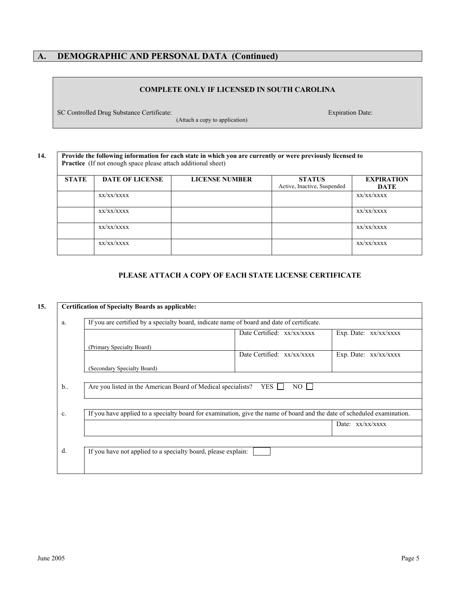# **A. DEMOGRAPHIC AND PERSONAL DATA (Continued)**

#### **COMPLETE ONLY IF LICENSED IN SOUTH CAROLINA**

SC Controlled Drug Substance Certificate:

(Attach a copy to application)

Expiration Date:

#### **14. Provide the following information for each state in which you are currently or were previously licensed to**  Practice (If not enough space please attach additional sheet)

| <b>STATE</b> | <b>DATE OF LICENSE</b> | <b>LICENSE NUMBER</b> | <b>STATUS</b><br>Active, Inactive, Suspended | <b>EXPIRATION</b><br>DATE |
|--------------|------------------------|-----------------------|----------------------------------------------|---------------------------|
|              | XX/XX/XXXX             |                       |                                              | XX/XX/XXXX                |
|              | XX/XX/XXXX             |                       |                                              | XX/XX/XXXX                |
|              | XX/XX/XXXX             |                       |                                              | XX/XX/XXXX                |
|              | XX/XX/XXXX             |                       |                                              | XX/XX/XXXX                |

#### **PLEASE ATTACH A COPY OF EACH STATE LICENSE CERTIFICATE**

|                |                                                              | If you are certified by a specialty board, indicate name of board and date of certificate.                              |                       |
|----------------|--------------------------------------------------------------|-------------------------------------------------------------------------------------------------------------------------|-----------------------|
|                |                                                              | Date Certified: $xx/xx/xxxx$                                                                                            | Exp. Date: xx/xx/xxxx |
|                | (Primary Specialty Board)                                    |                                                                                                                         |                       |
|                |                                                              | Date Certified: $xx/xxxxx$                                                                                              | Exp. Date: xx/xx/xxxx |
|                | (Secondary Specialty Board)                                  |                                                                                                                         |                       |
|                |                                                              |                                                                                                                         |                       |
| $b_{\cdot}$    | Are you listed in the American Board of Medical specialists? | YES I<br>$NO$ $\Box$                                                                                                    |                       |
|                |                                                              |                                                                                                                         |                       |
| $\mathbf{c}$ . |                                                              | If you have applied to a specialty board for examination, give the name of board and the date of scheduled examination. |                       |
|                |                                                              |                                                                                                                         |                       |
|                |                                                              |                                                                                                                         | Date: $xx/xx/xxxx$    |
|                |                                                              |                                                                                                                         |                       |
|                |                                                              |                                                                                                                         |                       |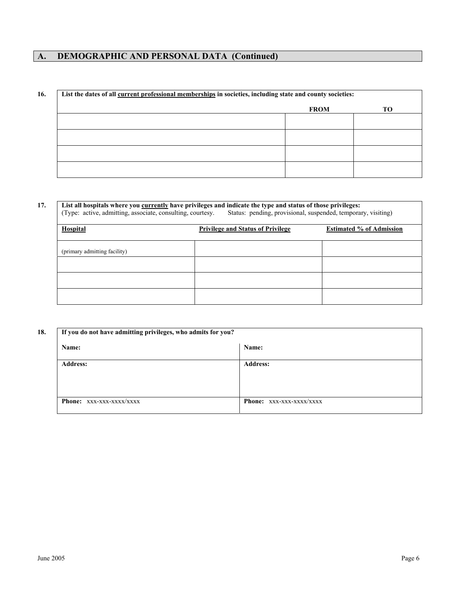# **A. DEMOGRAPHIC AND PERSONAL DATA (Continued)**

| List the dates of all current professional memberships in societies, including state and county societies: |             |                 |
|------------------------------------------------------------------------------------------------------------|-------------|-----------------|
|                                                                                                            | <b>FROM</b> | TO <sub>1</sub> |
|                                                                                                            |             |                 |
|                                                                                                            |             |                 |
|                                                                                                            |             |                 |
|                                                                                                            |             |                 |
|                                                                                                            |             |                 |

# **17. List all hospitals where you currently have privileges and indicate the type and status of those privileges:**

(Type: active, admitting, associate, consulting, courtesy. Status: pending, provisional, suspended, temporary, visiting)

| <b>Hospital</b>              | <b>Privilege and Status of Privilege</b> | <b>Estimated % of Admission</b> |
|------------------------------|------------------------------------------|---------------------------------|
| (primary admitting facility) |                                          |                                 |
|                              |                                          |                                 |
|                              |                                          |                                 |
|                              |                                          |                                 |

| Name:           | Name:           |
|-----------------|-----------------|
| <b>Address:</b> | <b>Address:</b> |
|                 |                 |
|                 |                 |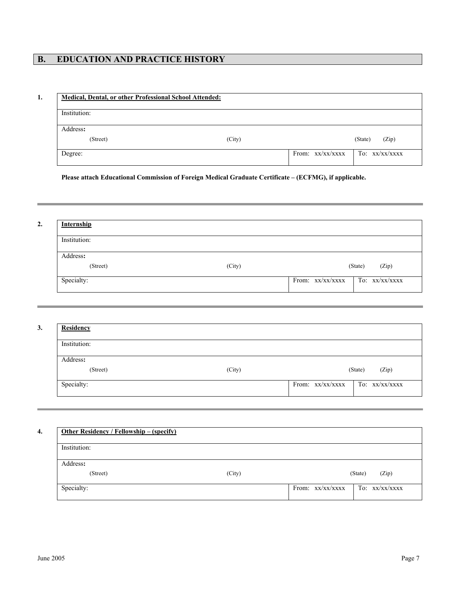# **B. EDUCATION AND PRACTICE HISTORY**

#### **1. Medical, Dental, or other Professional School Attended:**

| Institution: |        |                    |                  |
|--------------|--------|--------------------|------------------|
| Address:     |        |                    |                  |
| (Street)     | (City) |                    | (Zip)<br>(State) |
| Degree:      |        | From: $xx/xx/xxxx$ | To: xx/xx/xxxx   |

**Please attach Educational Commission of Foreign Medical Graduate Certificate – (ECFMG), if applicable.** 

**2. Internship** Institution: Address**:**  (Street) (Street) (Street) (State) (State) (State) (State) (State) (State) (State) (State) (State) (State) (State) (State) (State) (State) (State) (State) (State) (State) (State) (State) (State) (State) (State) (State) (St Specialty: From:  $xx/xx/xxxx$  To:  $xx/xx/xxxx$ 

| Institution: |        |                  |
|--------------|--------|------------------|
| Address:     |        |                  |
| (Street)     | (City) | (Zip)<br>(State) |

| Institution: |        |         |       |
|--------------|--------|---------|-------|
| Address:     |        |         |       |
| (Street)     | (City) | (State) | (Zip) |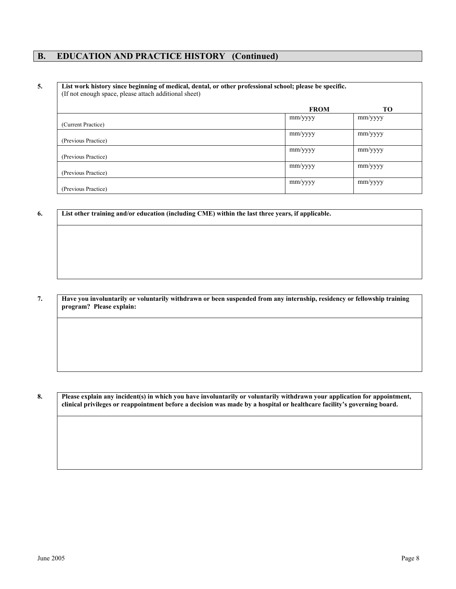#### **B. EDUCATION AND PRACTICE HISTORY (Continued)**

#### **5. List work history since beginning of medical, dental, or other professional school; please be specific.**  (If not enough space, please attach additional sheet)

|                     | <b>FROM</b> | TО      |
|---------------------|-------------|---------|
| (Current Practice)  | mm/yyyy     | mm/yyyy |
| (Previous Practice) | mm/yyyy     | mm/yyyy |
| (Previous Practice) | mm/yyyy     | mm/yyyy |
| (Previous Practice) | mm/yyyy     | mm/yyyy |
| (Previous Practice) | mm/yyyy     | mm/yyyy |

**6. List other training and/or education (including CME) within the last three years, if applicable.**

**7. Have you involuntarily or voluntarily withdrawn or been suspended from any internship, residency or fellowship training program? Please explain:** 

**8. Please explain any incident(s) in which you have involuntarily or voluntarily withdrawn your application for appointment, clinical privileges or reappointment before a decision was made by a hospital or healthcare facility's governing board.**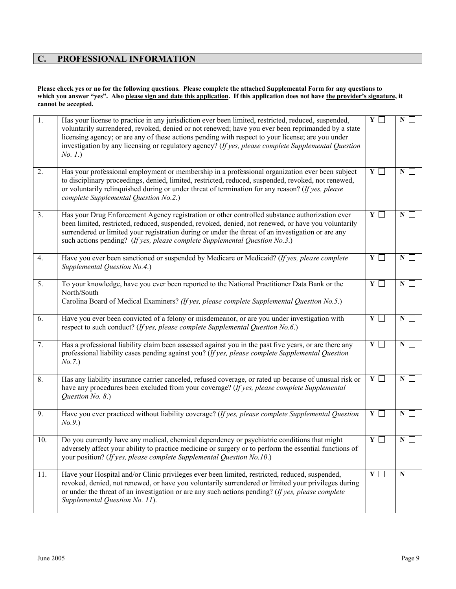# **C. PROFESSIONAL INFORMATION**

#### **Please check yes or no for the following questions. Please complete the attached Supplemental Form for any questions to**  which you answer "yes". Also please sign and date this application. If this application does not have the provider's signature, it **cannot be accepted.**

| $\overline{1}$ . | Has your license to practice in any jurisdiction ever been limited, restricted, reduced, suspended,<br>voluntarily surrendered, revoked, denied or not renewed; have you ever been reprimanded by a state<br>licensing agency; or are any of these actions pending with respect to your license; are you under<br>investigation by any licensing or regulatory agency? (If yes, please complete Supplemental Question<br>No. 1.) | $\overline{Y}$ $\Box$ | N            |
|------------------|----------------------------------------------------------------------------------------------------------------------------------------------------------------------------------------------------------------------------------------------------------------------------------------------------------------------------------------------------------------------------------------------------------------------------------|-----------------------|--------------|
| 2.               | Has your professional employment or membership in a professional organization ever been subject<br>to disciplinary proceedings, denied, limited, restricted, reduced, suspended, revoked, not renewed,<br>or voluntarily relinquished during or under threat of termination for any reason? (If yes, please<br>complete Supplemental Question No.2.)                                                                             | $Y \Box$              | N            |
| 3.               | Has your Drug Enforcement Agency registration or other controlled substance authorization ever<br>been limited, restricted, reduced, suspended, revoked, denied, not renewed, or have you voluntarily<br>surrendered or limited your registration during or under the threat of an investigation or are any<br>such actions pending? (If yes, please complete Supplemental Question No.3.)                                       | $\overline{Y}$        | N            |
| 4.               | Have you ever been sanctioned or suspended by Medicare or Medicaid? (If yes, please complete<br>Supplemental Question No.4.)                                                                                                                                                                                                                                                                                                     | $Y \Box$              | $N \Box$     |
| 5.               | To your knowledge, have you ever been reported to the National Practitioner Data Bank or the<br>North/South<br>Carolina Board of Medical Examiners? (If yes, please complete Supplemental Question No.5.)                                                                                                                                                                                                                        | $Y \sqsubset$         | $\mathbf{N}$ |
| 6.               | Have you ever been convicted of a felony or misdemeanor, or are you under investigation with<br>respect to such conduct? (If yes, please complete Supplemental Question No.6.)                                                                                                                                                                                                                                                   | $\overline{Y}$ $\Box$ | $N \Box$     |
| 7.               | Has a professional liability claim been assessed against you in the past five years, or are there any<br>professional liability cases pending against you? (If yes, please complete Supplemental Question<br>No. 7.)                                                                                                                                                                                                             | $Y \Box$              | $N$ $\Box$   |
| 8.               | Has any liability insurance carrier canceled, refused coverage, or rated up because of unusual risk or<br>have any procedures been excluded from your coverage? (If yes, please complete Supplemental<br>Question No. 8.)                                                                                                                                                                                                        | $\overline{Y}$ $\Box$ | $N$ $\Box$   |
| 9.               | Have you ever practiced without liability coverage? (If yes, please complete Supplemental Question<br>No. 9.)                                                                                                                                                                                                                                                                                                                    | $Y \Box$              | $N$ $\Box$   |
| 10.              | Do you currently have any medical, chemical dependency or psychiatric conditions that might<br>adversely affect your ability to practice medicine or surgery or to perform the essential functions of<br>your position? (If yes, please complete Supplemental Question No.10.)                                                                                                                                                   | $Y \Box$              | $N$ $\vert$  |
| 11.              | Have your Hospital and/or Clinic privileges ever been limited, restricted, reduced, suspended,<br>revoked, denied, not renewed, or have you voluntarily surrendered or limited your privileges during<br>or under the threat of an investigation or are any such actions pending? (If yes, please complete<br>Supplemental Question No. 11).                                                                                     | $Y \Box$              | $N$ $\Box$   |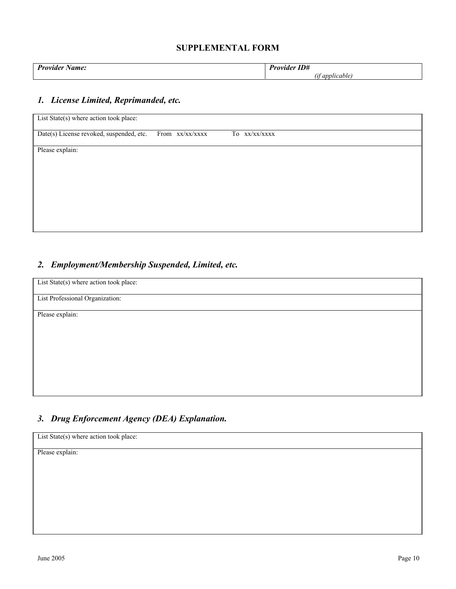| - -<br>D.,<br><i></i><br>---<br>. | $-1$<br>∽<br>$\sim$ |
|-----------------------------------|---------------------|
|                                   | . .                 |

#### *1. License Limited, Reprimanded, etc.*

| List State(s) where action took place:   |                 |                  |  |
|------------------------------------------|-----------------|------------------|--|
| Date(s) License revoked, suspended, etc. | From xx/xx/xxxx | xx/xx/xxxx<br>To |  |
| Please explain:                          |                 |                  |  |
|                                          |                 |                  |  |
|                                          |                 |                  |  |
|                                          |                 |                  |  |
|                                          |                 |                  |  |
|                                          |                 |                  |  |

# *2. Employment/Membership Suspended, Limited, etc.*

| List State(s) where action took place: |  |
|----------------------------------------|--|
| List Professional Organization:        |  |
| Please explain:                        |  |
|                                        |  |
|                                        |  |
|                                        |  |
|                                        |  |
|                                        |  |

# *3. Drug Enforcement Agency (DEA) Explanation.*

| List State(s) where action took place: |  |
|----------------------------------------|--|
| Please explain:                        |  |
|                                        |  |
|                                        |  |
|                                        |  |
|                                        |  |
|                                        |  |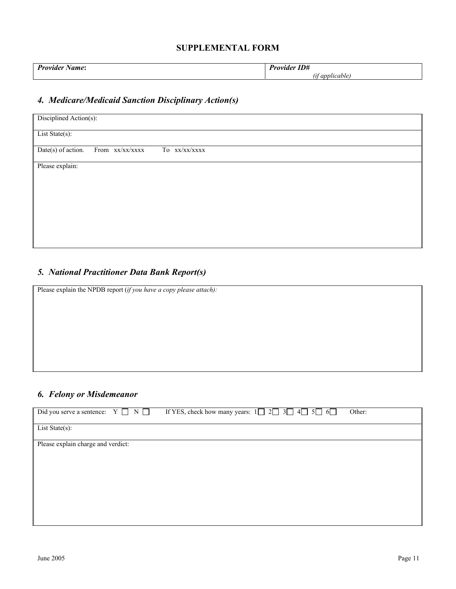| $D_{univ}$<br>amo.<br>ШE. | T<br>A Att<br>.<br><br>.D# |
|---------------------------|----------------------------|
|                           | annn                       |

# *4. Medicare/Medicaid Sanction Disciplinary Action(s)*

| Disciplined Action(s):                                   |  |
|----------------------------------------------------------|--|
| List State(s):                                           |  |
| $Date(s)$ of action.<br>From xx/xx/xxxx<br>To xx/xx/xxxx |  |
| Please explain:                                          |  |
|                                                          |  |
|                                                          |  |
|                                                          |  |
|                                                          |  |
|                                                          |  |

# *5. National Practitioner Data Bank Report(s)*

Please explain the NPDB report (*if you have a copy please attach):*

## *6. Felony or Misdemeanor*

| Did you serve a sentence: $Y \Box N \Box$ | If YES, check how many years: $1 \square 2 \square 3 \square 4 \square 5 \square 6 \square$ | Other: |
|-------------------------------------------|---------------------------------------------------------------------------------------------|--------|
| List State(s):                            |                                                                                             |        |
| Please explain charge and verdict:        |                                                                                             |        |
|                                           |                                                                                             |        |
|                                           |                                                                                             |        |
|                                           |                                                                                             |        |
|                                           |                                                                                             |        |
|                                           |                                                                                             |        |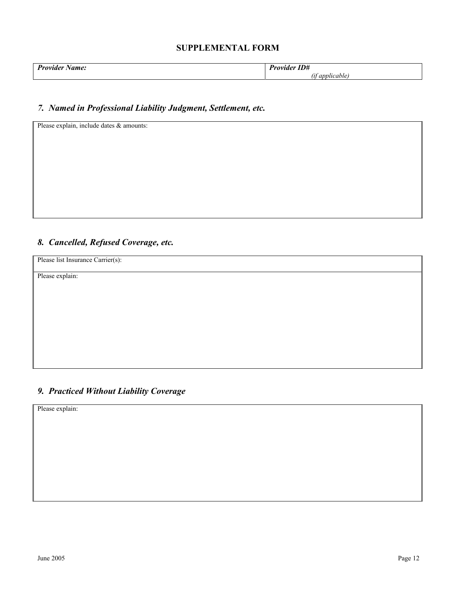| $ -$<br>$D_{univ}$<br>$N$ amo.<br>. | T T<br>D.<br>, ,<br>. |
|-------------------------------------|-----------------------|
|                                     | annlicah              |

#### *7. Named in Professional Liability Judgment, Settlement, etc.*

Please explain, include dates & amounts:

### *8. Cancelled, Refused Coverage, etc.*

Please list Insurance Carrier(s):

Please explain:

# *9. Practiced Without Liability Coverage*

Please explain: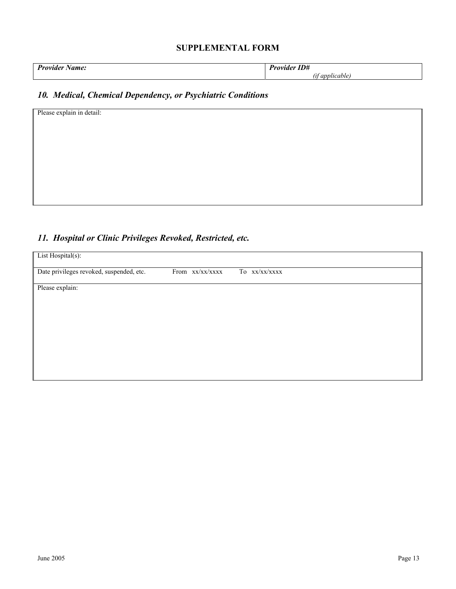| $\mathbf{D}_{\mathbf{u}}$<br>--<br>.<br>.<br>$\sim$ | $-$<br>$\mathbf{r}$<br>.<br>$\sim$<br>. |
|-----------------------------------------------------|-----------------------------------------|
|                                                     | $\mathbf{m}$                            |

# *10. Medical, Chemical Dependency, or Psychiatric Conditions*

| Please explain in detail: |  |  |  |
|---------------------------|--|--|--|
|                           |  |  |  |
|                           |  |  |  |
|                           |  |  |  |
|                           |  |  |  |
|                           |  |  |  |
|                           |  |  |  |
|                           |  |  |  |

#### *11. Hospital or Clinic Privileges Revoked, Restricted, etc.*

| List Hospital(s):                        |                 |               |  |
|------------------------------------------|-----------------|---------------|--|
| Date privileges revoked, suspended, etc. | From xx/xx/xxxx | To xx/xx/xxxx |  |
| Please explain:                          |                 |               |  |
|                                          |                 |               |  |
|                                          |                 |               |  |
|                                          |                 |               |  |
|                                          |                 |               |  |
|                                          |                 |               |  |
|                                          |                 |               |  |